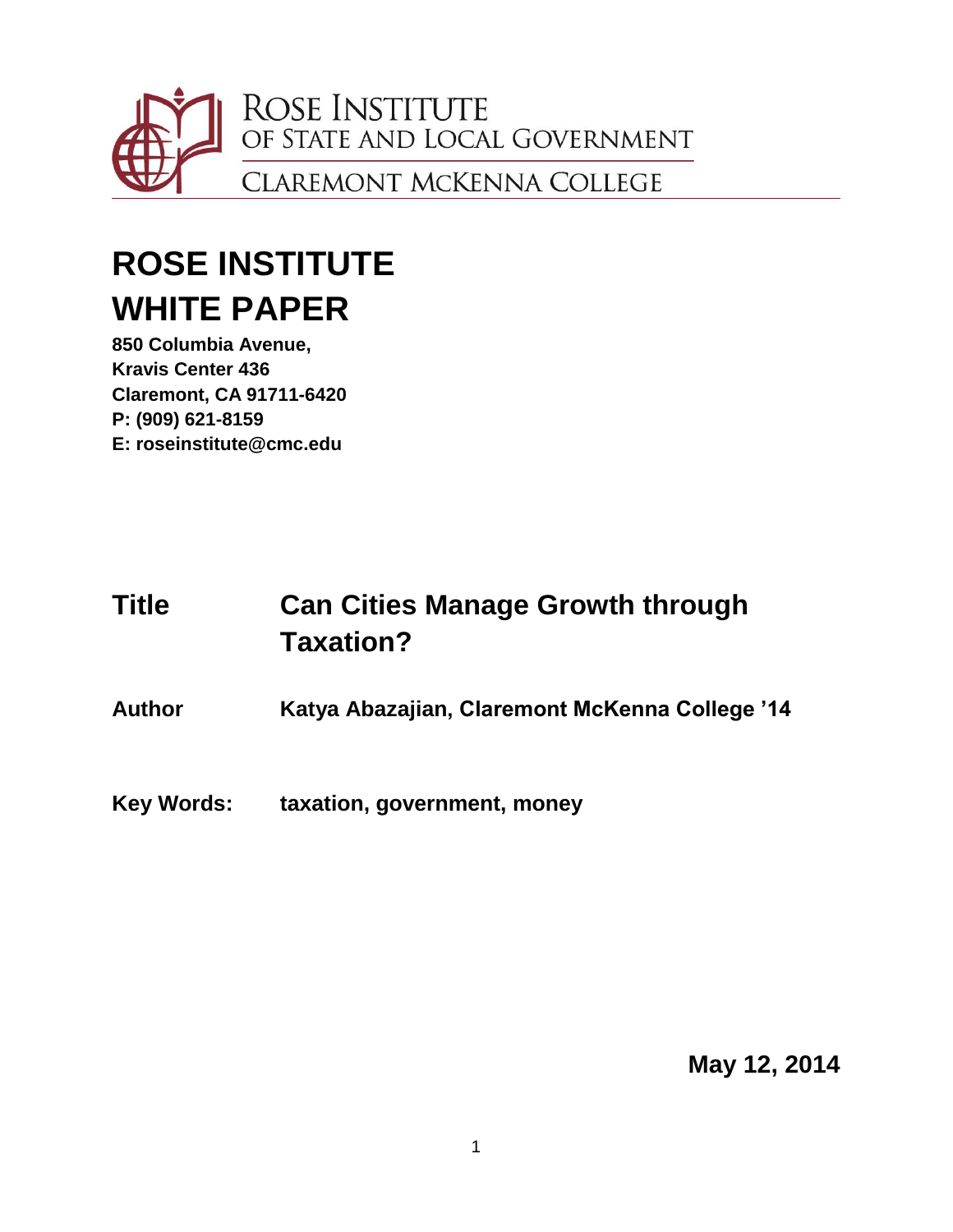

# **ROSE INSTITUTE WHITE PAPER**

**850 Columbia Avenue, Kravis Center 436 Claremont, CA 91711-6420 P: (909) 621-8159 E: roseinstitute@cmc.edu**

## **Title Can Cities Manage Growth through Taxation?**

**Author Katya Abazajian, Claremont McKenna College '14**

**Key Words: taxation, government, money**

**May 12, 2014**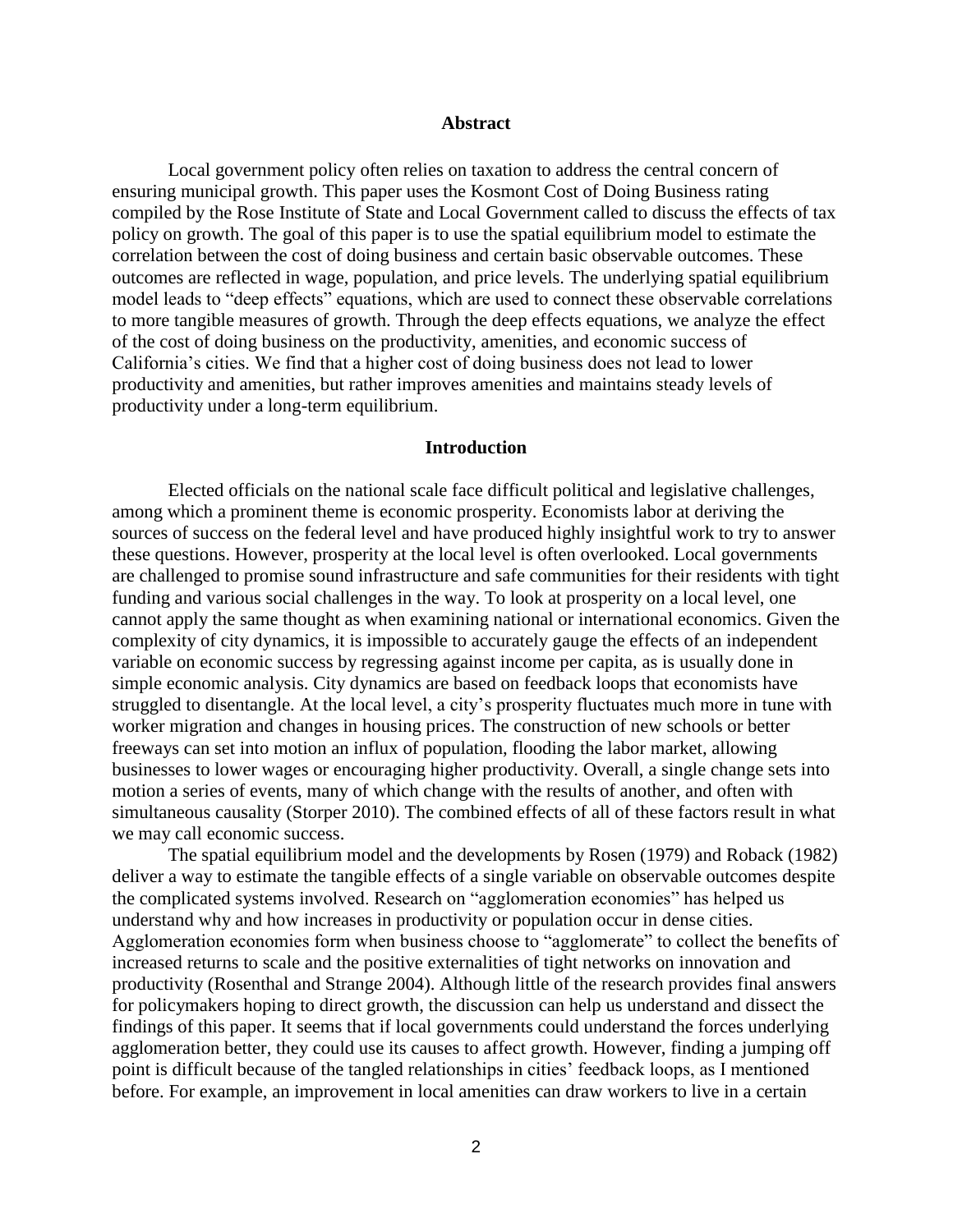#### **Abstract**

Local government policy often relies on taxation to address the central concern of ensuring municipal growth. This paper uses the Kosmont Cost of Doing Business rating compiled by the Rose Institute of State and Local Government called to discuss the effects of tax policy on growth. The goal of this paper is to use the spatial equilibrium model to estimate the correlation between the cost of doing business and certain basic observable outcomes. These outcomes are reflected in wage, population, and price levels. The underlying spatial equilibrium model leads to "deep effects" equations, which are used to connect these observable correlations to more tangible measures of growth. Through the deep effects equations, we analyze the effect of the cost of doing business on the productivity, amenities, and economic success of California's cities. We find that a higher cost of doing business does not lead to lower productivity and amenities, but rather improves amenities and maintains steady levels of productivity under a long-term equilibrium.

#### **Introduction**

Elected officials on the national scale face difficult political and legislative challenges, among which a prominent theme is economic prosperity. Economists labor at deriving the sources of success on the federal level and have produced highly insightful work to try to answer these questions. However, prosperity at the local level is often overlooked. Local governments are challenged to promise sound infrastructure and safe communities for their residents with tight funding and various social challenges in the way. To look at prosperity on a local level, one cannot apply the same thought as when examining national or international economics. Given the complexity of city dynamics, it is impossible to accurately gauge the effects of an independent variable on economic success by regressing against income per capita, as is usually done in simple economic analysis. City dynamics are based on feedback loops that economists have struggled to disentangle. At the local level, a city's prosperity fluctuates much more in tune with worker migration and changes in housing prices. The construction of new schools or better freeways can set into motion an influx of population, flooding the labor market, allowing businesses to lower wages or encouraging higher productivity. Overall, a single change sets into motion a series of events, many of which change with the results of another, and often with simultaneous causality (Storper 2010). The combined effects of all of these factors result in what we may call economic success.

The spatial equilibrium model and the developments by Rosen (1979) and Roback (1982) deliver a way to estimate the tangible effects of a single variable on observable outcomes despite the complicated systems involved. Research on "agglomeration economies" has helped us understand why and how increases in productivity or population occur in dense cities. Agglomeration economies form when business choose to "agglomerate" to collect the benefits of increased returns to scale and the positive externalities of tight networks on innovation and productivity (Rosenthal and Strange 2004). Although little of the research provides final answers for policymakers hoping to direct growth, the discussion can help us understand and dissect the findings of this paper. It seems that if local governments could understand the forces underlying agglomeration better, they could use its causes to affect growth. However, finding a jumping off point is difficult because of the tangled relationships in cities' feedback loops, as I mentioned before. For example, an improvement in local amenities can draw workers to live in a certain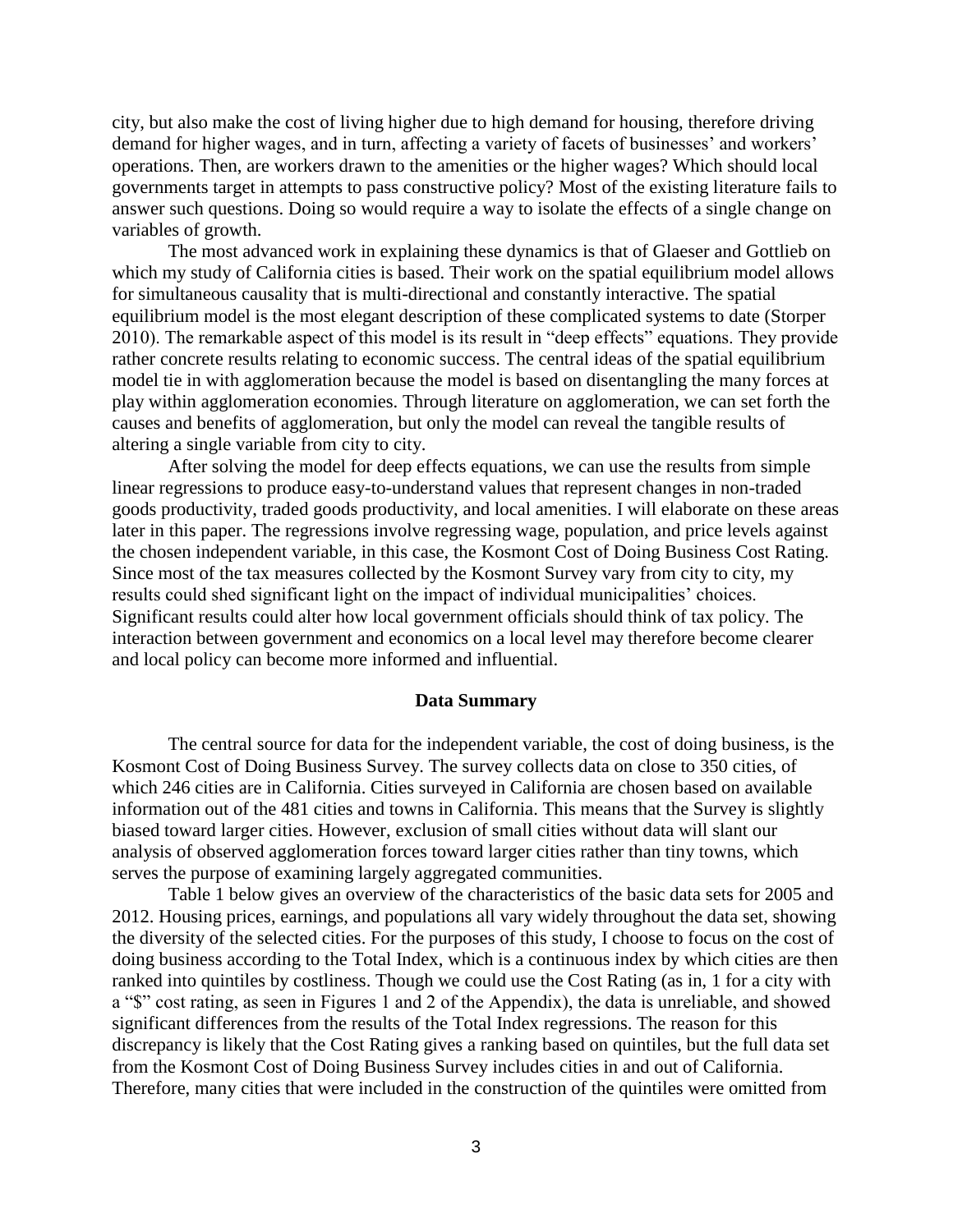city, but also make the cost of living higher due to high demand for housing, therefore driving demand for higher wages, and in turn, affecting a variety of facets of businesses' and workers' operations. Then, are workers drawn to the amenities or the higher wages? Which should local governments target in attempts to pass constructive policy? Most of the existing literature fails to answer such questions. Doing so would require a way to isolate the effects of a single change on variables of growth.

The most advanced work in explaining these dynamics is that of Glaeser and Gottlieb on which my study of California cities is based. Their work on the spatial equilibrium model allows for simultaneous causality that is multi-directional and constantly interactive. The spatial equilibrium model is the most elegant description of these complicated systems to date (Storper 2010). The remarkable aspect of this model is its result in "deep effects" equations. They provide rather concrete results relating to economic success. The central ideas of the spatial equilibrium model tie in with agglomeration because the model is based on disentangling the many forces at play within agglomeration economies. Through literature on agglomeration, we can set forth the causes and benefits of agglomeration, but only the model can reveal the tangible results of altering a single variable from city to city.

After solving the model for deep effects equations, we can use the results from simple linear regressions to produce easy-to-understand values that represent changes in non-traded goods productivity, traded goods productivity, and local amenities. I will elaborate on these areas later in this paper. The regressions involve regressing wage, population, and price levels against the chosen independent variable, in this case, the Kosmont Cost of Doing Business Cost Rating. Since most of the tax measures collected by the Kosmont Survey vary from city to city, my results could shed significant light on the impact of individual municipalities' choices. Significant results could alter how local government officials should think of tax policy. The interaction between government and economics on a local level may therefore become clearer and local policy can become more informed and influential.

#### **Data Summary**

The central source for data for the independent variable, the cost of doing business, is the Kosmont Cost of Doing Business Survey. The survey collects data on close to 350 cities, of which 246 cities are in California. Cities surveyed in California are chosen based on available information out of the 481 cities and towns in California. This means that the Survey is slightly biased toward larger cities. However, exclusion of small cities without data will slant our analysis of observed agglomeration forces toward larger cities rather than tiny towns, which serves the purpose of examining largely aggregated communities.

Table 1 below gives an overview of the characteristics of the basic data sets for 2005 and 2012. Housing prices, earnings, and populations all vary widely throughout the data set, showing the diversity of the selected cities. For the purposes of this study, I choose to focus on the cost of doing business according to the Total Index, which is a continuous index by which cities are then ranked into quintiles by costliness. Though we could use the Cost Rating (as in, 1 for a city with a "\$" cost rating, as seen in Figures 1 and 2 of the Appendix), the data is unreliable, and showed significant differences from the results of the Total Index regressions. The reason for this discrepancy is likely that the Cost Rating gives a ranking based on quintiles, but the full data set from the Kosmont Cost of Doing Business Survey includes cities in and out of California. Therefore, many cities that were included in the construction of the quintiles were omitted from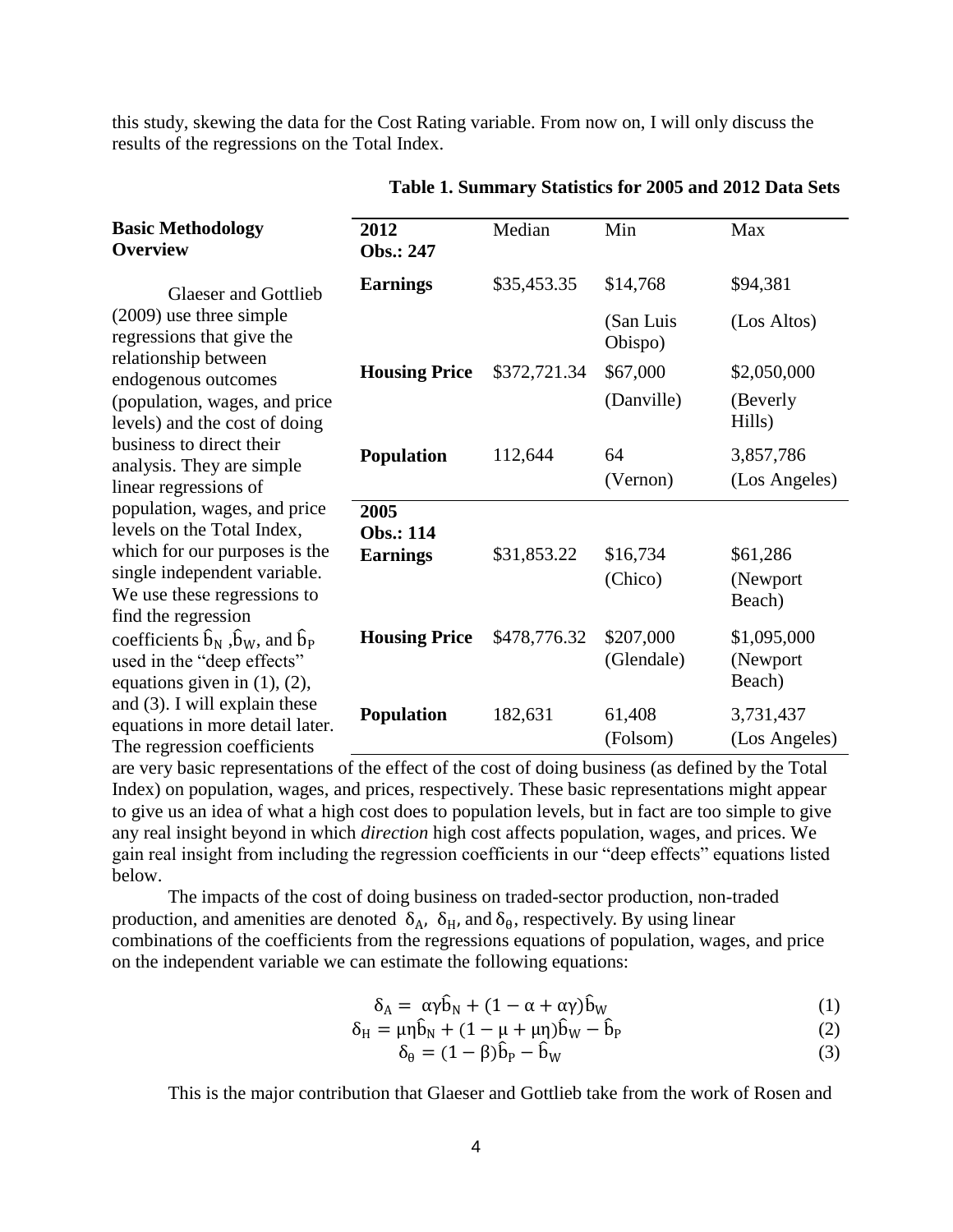this study, skewing the data for the Cost Rating variable. From now on, I will only discuss the results of the regressions on the Total Index.

| <b>Basic Methodology</b><br><b>Overview</b>                                                                                                         | 2012<br>Obs.: 247    | Median       | Min                     | Max                               |
|-----------------------------------------------------------------------------------------------------------------------------------------------------|----------------------|--------------|-------------------------|-----------------------------------|
| <b>Glaeser and Gottlieb</b>                                                                                                                         | <b>Earnings</b>      | \$35,453.35  | \$14,768                | \$94,381                          |
| $(2009)$ use three simple<br>regressions that give the                                                                                              |                      |              | (San Luis<br>Obispo)    | (Los Altos)                       |
| relationship between<br>endogenous outcomes                                                                                                         | <b>Housing Price</b> | \$372,721.34 | \$67,000                | \$2,050,000                       |
| (population, wages, and price<br>levels) and the cost of doing                                                                                      |                      |              | (Danville)              | (Beverly<br>Hills)                |
| business to direct their<br>analysis. They are simple                                                                                               | <b>Population</b>    | 112,644      | 64                      | 3,857,786                         |
| linear regressions of                                                                                                                               |                      |              | (Vernon)                | (Los Angeles)                     |
| population, wages, and price                                                                                                                        | 2005                 |              |                         |                                   |
| levels on the Total Index,                                                                                                                          | <b>Obs.: 114</b>     |              |                         |                                   |
| which for our purposes is the<br>single independent variable.                                                                                       | <b>Earnings</b>      | \$31,853.22  | \$16,734                | \$61,286                          |
| We use these regressions to                                                                                                                         |                      |              | (Chico)                 | (Newport)<br>Beach)               |
| find the regression<br>coefficients $\hat{b}_N$ , $\hat{b}_W$ , and $\hat{b}_P$<br>used in the "deep effects"<br>equations given in $(1)$ , $(2)$ , | <b>Housing Price</b> | \$478,776.32 | \$207,000<br>(Glendale) | \$1,095,000<br>(Newport<br>Beach) |
| and $(3)$ . I will explain these                                                                                                                    |                      |              |                         |                                   |
| equations in more detail later.                                                                                                                     | <b>Population</b>    | 182,631      | 61,408<br>(Folsom)      | 3,731,437<br>(Los Angeles)        |
| The regression coefficients                                                                                                                         |                      |              |                         |                                   |

**Table 1. Summary Statistics for 2005 and 2012 Data Sets**

are very basic representations of the effect of the cost of doing business (as defined by the Total Index) on population, wages, and prices, respectively. These basic representations might appear to give us an idea of what a high cost does to population levels, but in fact are too simple to give any real insight beyond in which *direction* high cost affects population, wages, and prices. We gain real insight from including the regression coefficients in our "deep effects" equations listed below.

The impacts of the cost of doing business on traded-sector production, non-traded production, and amenities are denoted  $\delta_A$ ,  $\delta_H$ , and  $\delta_\theta$ , respectively. By using linear combinations of the coefficients from the regressions equations of population, wages, and price on the independent variable we can estimate the following equations:

$$
\delta_A = \alpha \gamma \hat{b}_N + (1 - \alpha + \alpha \gamma) \hat{b}_W \tag{1}
$$

 $\delta_{\rm H} = \mu \eta \hat{\rm b}_{\rm N} + (1 - \mu + \mu \eta) \hat{\rm b}_{\rm W} - \hat{\rm b}$  $P$  (2)

$$
\delta_{\theta} = (1 - \beta)\hat{b}_{P} - \hat{b}_{W} \tag{3}
$$

This is the major contribution that Glaeser and Gottlieb take from the work of Rosen and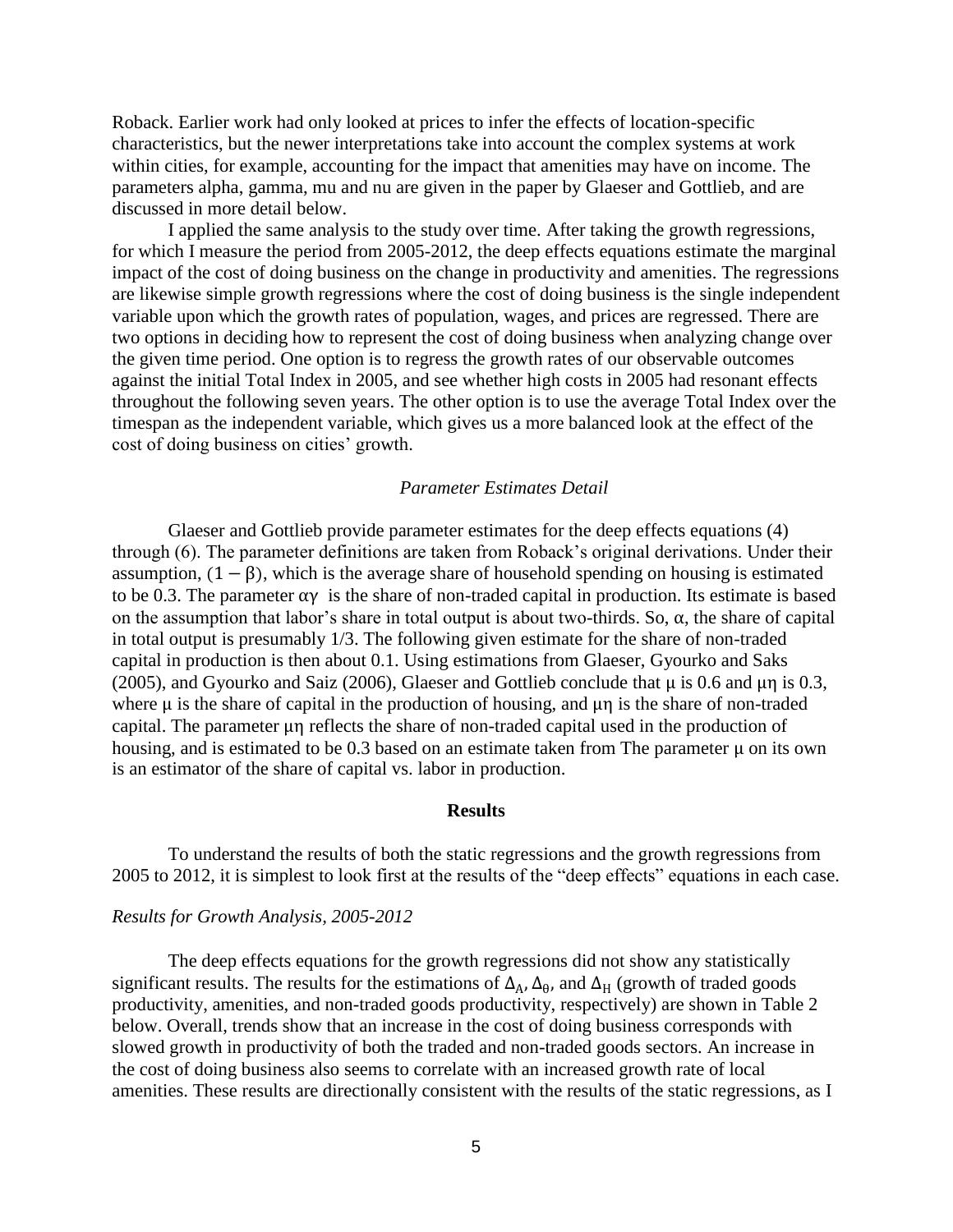Roback. Earlier work had only looked at prices to infer the effects of location-specific characteristics, but the newer interpretations take into account the complex systems at work within cities, for example, accounting for the impact that amenities may have on income. The parameters alpha, gamma, mu and nu are given in the paper by Glaeser and Gottlieb, and are discussed in more detail below.

I applied the same analysis to the study over time. After taking the growth regressions, for which I measure the period from 2005-2012, the deep effects equations estimate the marginal impact of the cost of doing business on the change in productivity and amenities. The regressions are likewise simple growth regressions where the cost of doing business is the single independent variable upon which the growth rates of population, wages, and prices are regressed. There are two options in deciding how to represent the cost of doing business when analyzing change over the given time period. One option is to regress the growth rates of our observable outcomes against the initial Total Index in 2005, and see whether high costs in 2005 had resonant effects throughout the following seven years. The other option is to use the average Total Index over the timespan as the independent variable, which gives us a more balanced look at the effect of the cost of doing business on cities' growth.

#### *Parameter Estimates Detail*

Glaeser and Gottlieb provide parameter estimates for the deep effects equations (4) through (6). The parameter definitions are taken from Roback's original derivations. Under their assumption,  $(1 - \beta)$ , which is the average share of household spending on housing is estimated to be 0.3. The parameter  $\alpha y$  is the share of non-traded capital in production. Its estimate is based on the assumption that labor's share in total output is about two-thirds. So,  $\alpha$ , the share of capital in total output is presumably 1/3. The following given estimate for the share of non-traded capital in production is then about 0.1. Using estimations from Glaeser, Gyourko and Saks (2005), and Gyourko and Saiz (2006), Glaeser and Gottlieb conclude that  $\mu$  is 0.6 and  $\mu$ n is 0.3, where  $\mu$  is the share of capital in the production of housing, and  $\mu$  is the share of non-traded capital. The parameter  $\mu$ n reflects the share of non-traded capital used in the production of housing, and is estimated to be 0.3 based on an estimate taken from The parameter  $\mu$  on its own is an estimator of the share of capital vs. labor in production.

#### **Results**

To understand the results of both the static regressions and the growth regressions from 2005 to 2012, it is simplest to look first at the results of the "deep effects" equations in each case.

#### *Results for Growth Analysis, 2005-2012*

The deep effects equations for the growth regressions did not show any statistically significant results. The results for the estimations of  $\Delta_A$ ,  $\Delta_\theta$ , and  $\Delta_H$  (growth of traded goods productivity, amenities, and non-traded goods productivity, respectively) are shown in Table 2 below. Overall, trends show that an increase in the cost of doing business corresponds with slowed growth in productivity of both the traded and non-traded goods sectors. An increase in the cost of doing business also seems to correlate with an increased growth rate of local amenities. These results are directionally consistent with the results of the static regressions, as I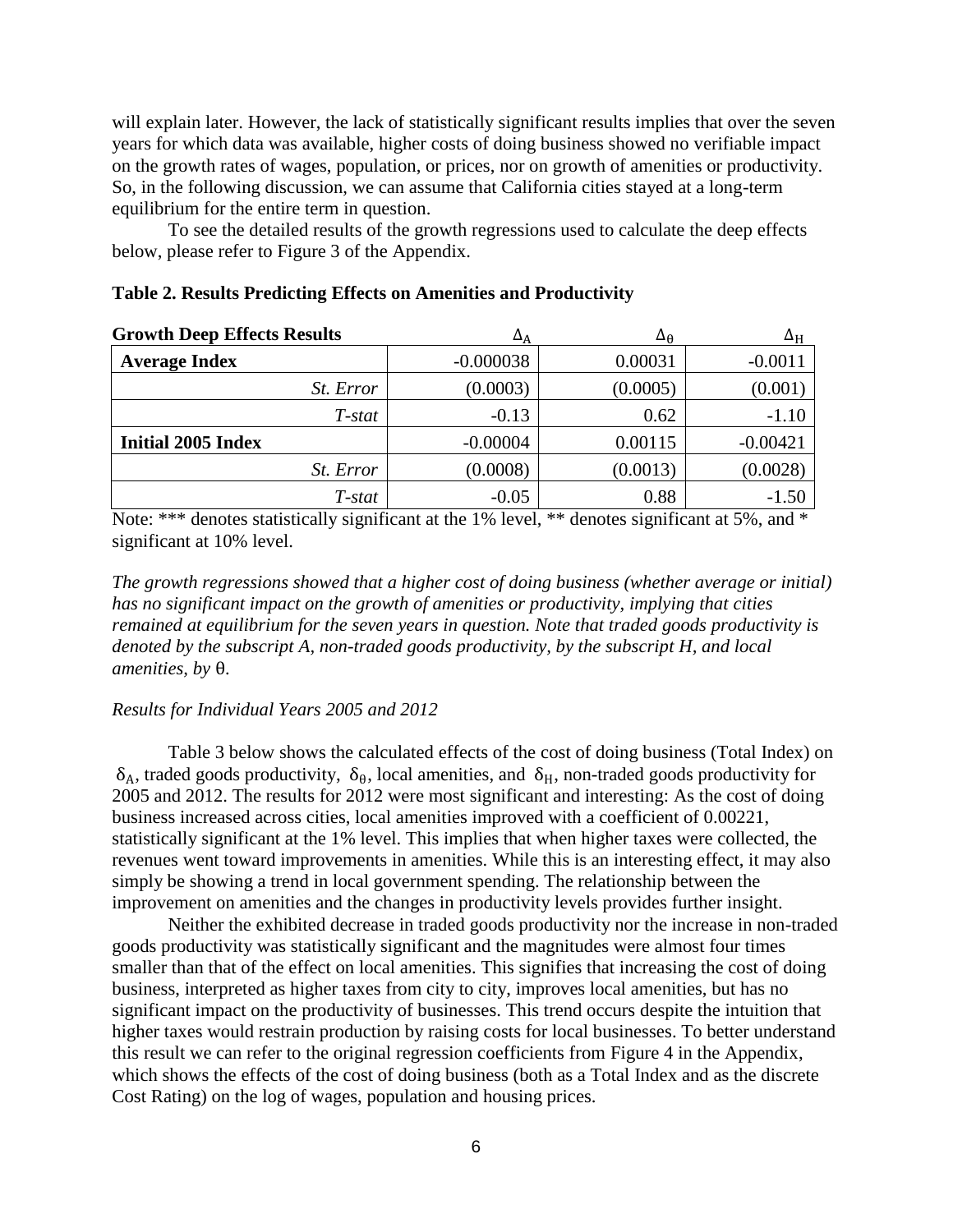will explain later. However, the lack of statistically significant results implies that over the seven years for which data was available, higher costs of doing business showed no verifiable impact on the growth rates of wages, population, or prices, nor on growth of amenities or productivity. So, in the following discussion, we can assume that California cities stayed at a long-term equilibrium for the entire term in question.

To see the detailed results of the growth regressions used to calculate the deep effects below, please refer to Figure 3 of the Appendix.

| <b>Growth Deep Effects Results</b> | ΔA          | Δ <sub>θ</sub> | $\Delta_{\rm H}$ |
|------------------------------------|-------------|----------------|------------------|
| <b>Average Index</b>               | $-0.000038$ | 0.00031        | $-0.0011$        |
| <i>St.</i> Error                   | (0.0003)    | (0.0005)       | (0.001)          |
| T-stat                             | $-0.13$     | 0.62           | $-1.10$          |
| <b>Initial 2005 Index</b>          | $-0.00004$  | 0.00115        | $-0.00421$       |
| <i>St.</i> Error                   | (0.0008)    | (0.0013)       | (0.0028)         |
| T-stat                             | $-0.05$     | 0.88           | $-1.50$          |

#### **Table 2. Results Predicting Effects on Amenities and Productivity**

Note: \*\*\* denotes statistically significant at the 1% level, \*\* denotes significant at 5%, and \* significant at 10% level.

*The growth regressions showed that a higher cost of doing business (whether average or initial) has no significant impact on the growth of amenities or productivity, implying that cities remained at equilibrium for the seven years in question. Note that traded goods productivity is denoted by the subscript A, non-traded goods productivity, by the subscript H, and local amenities, by* θ.

#### *Results for Individual Years 2005 and 2012*

Table 3 below shows the calculated effects of the cost of doing business (Total Index) on  $\delta_A$ , traded goods productivity,  $\delta_\theta$ , local amenities, and  $\delta_H$ , non-traded goods productivity for 2005 and 2012. The results for 2012 were most significant and interesting: As the cost of doing business increased across cities, local amenities improved with a coefficient of 0.00221, statistically significant at the 1% level. This implies that when higher taxes were collected, the revenues went toward improvements in amenities. While this is an interesting effect, it may also simply be showing a trend in local government spending. The relationship between the improvement on amenities and the changes in productivity levels provides further insight.

Neither the exhibited decrease in traded goods productivity nor the increase in non-traded goods productivity was statistically significant and the magnitudes were almost four times smaller than that of the effect on local amenities. This signifies that increasing the cost of doing business, interpreted as higher taxes from city to city, improves local amenities, but has no significant impact on the productivity of businesses. This trend occurs despite the intuition that higher taxes would restrain production by raising costs for local businesses. To better understand this result we can refer to the original regression coefficients from Figure 4 in the Appendix, which shows the effects of the cost of doing business (both as a Total Index and as the discrete Cost Rating) on the log of wages, population and housing prices.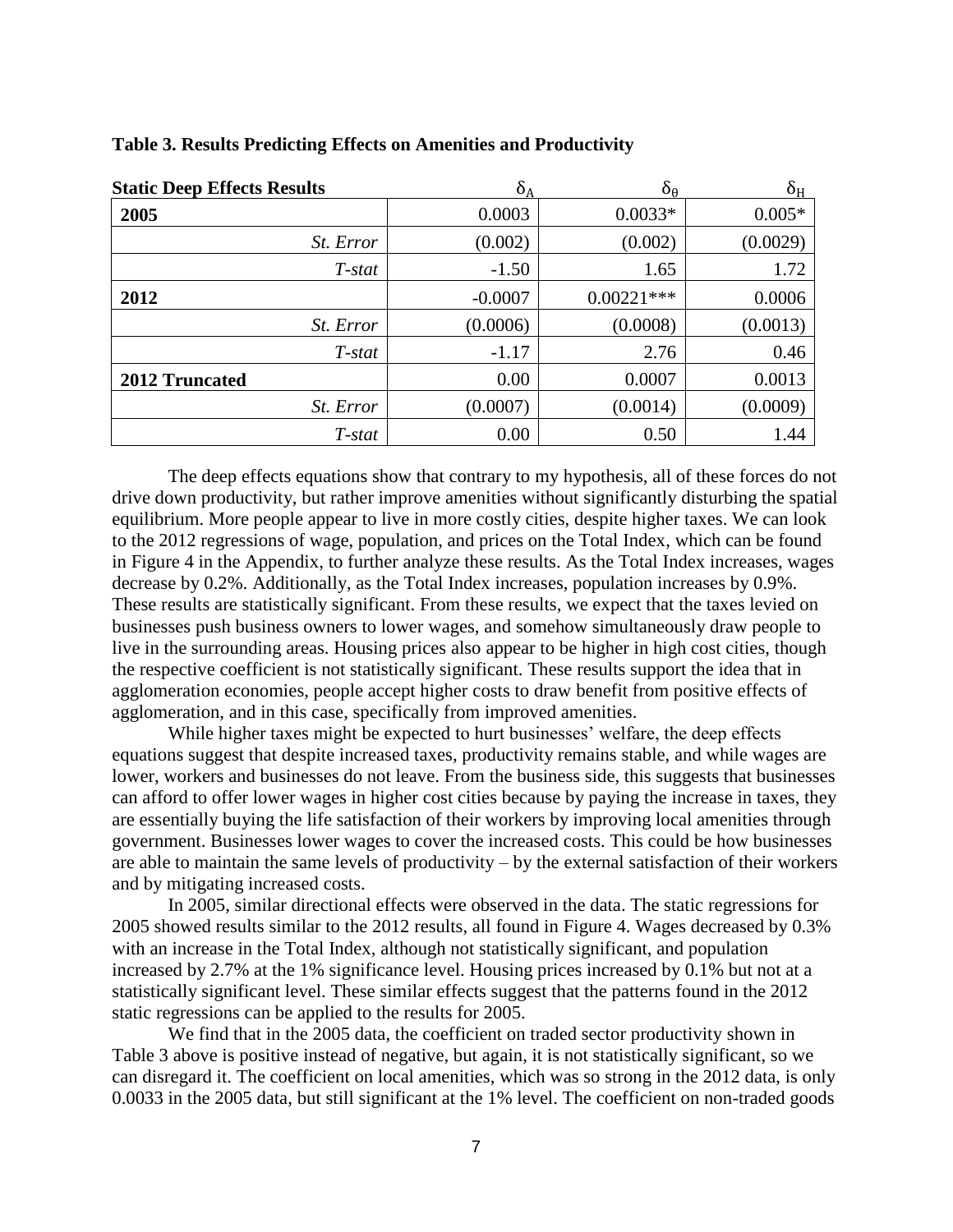| <b>Static Deep Effects Results</b> | $\delta_A$ | $\delta_{\theta}$ | $\delta_{\rm H}$ |
|------------------------------------|------------|-------------------|------------------|
| 2005                               | 0.0003     | $0.0033*$         | $0.005*$         |
| <i>St.</i> Error                   | (0.002)    | (0.002)           | (0.0029)         |
| T-stat                             | $-1.50$    | 1.65              | 1.72             |
| 2012                               | $-0.0007$  | $0.00221***$      | 0.0006           |
| <i>St.</i> Error                   | (0.0006)   | (0.0008)          | (0.0013)         |
| T-stat                             | $-1.17$    | 2.76              | 0.46             |
| 2012 Truncated                     | 0.00       | 0.0007            | 0.0013           |
| <i>St.</i> Error                   | (0.0007)   | (0.0014)          | (0.0009)         |
| T-stat                             | 0.00       | 0.50              | 1.44             |

#### **Table 3. Results Predicting Effects on Amenities and Productivity**

The deep effects equations show that contrary to my hypothesis, all of these forces do not drive down productivity, but rather improve amenities without significantly disturbing the spatial equilibrium. More people appear to live in more costly cities, despite higher taxes. We can look to the 2012 regressions of wage, population, and prices on the Total Index, which can be found in Figure 4 in the Appendix, to further analyze these results. As the Total Index increases, wages decrease by 0.2%. Additionally, as the Total Index increases, population increases by 0.9%. These results are statistically significant. From these results, we expect that the taxes levied on businesses push business owners to lower wages, and somehow simultaneously draw people to live in the surrounding areas. Housing prices also appear to be higher in high cost cities, though the respective coefficient is not statistically significant. These results support the idea that in agglomeration economies, people accept higher costs to draw benefit from positive effects of agglomeration, and in this case, specifically from improved amenities.

While higher taxes might be expected to hurt businesses' welfare, the deep effects equations suggest that despite increased taxes, productivity remains stable, and while wages are lower, workers and businesses do not leave. From the business side, this suggests that businesses can afford to offer lower wages in higher cost cities because by paying the increase in taxes, they are essentially buying the life satisfaction of their workers by improving local amenities through government. Businesses lower wages to cover the increased costs. This could be how businesses are able to maintain the same levels of productivity – by the external satisfaction of their workers and by mitigating increased costs.

In 2005, similar directional effects were observed in the data. The static regressions for 2005 showed results similar to the 2012 results, all found in Figure 4. Wages decreased by 0.3% with an increase in the Total Index, although not statistically significant, and population increased by 2.7% at the 1% significance level. Housing prices increased by 0.1% but not at a statistically significant level. These similar effects suggest that the patterns found in the 2012 static regressions can be applied to the results for 2005.

We find that in the 2005 data, the coefficient on traded sector productivity shown in Table 3 above is positive instead of negative, but again, it is not statistically significant, so we can disregard it. The coefficient on local amenities, which was so strong in the 2012 data, is only 0.0033 in the 2005 data, but still significant at the 1% level. The coefficient on non-traded goods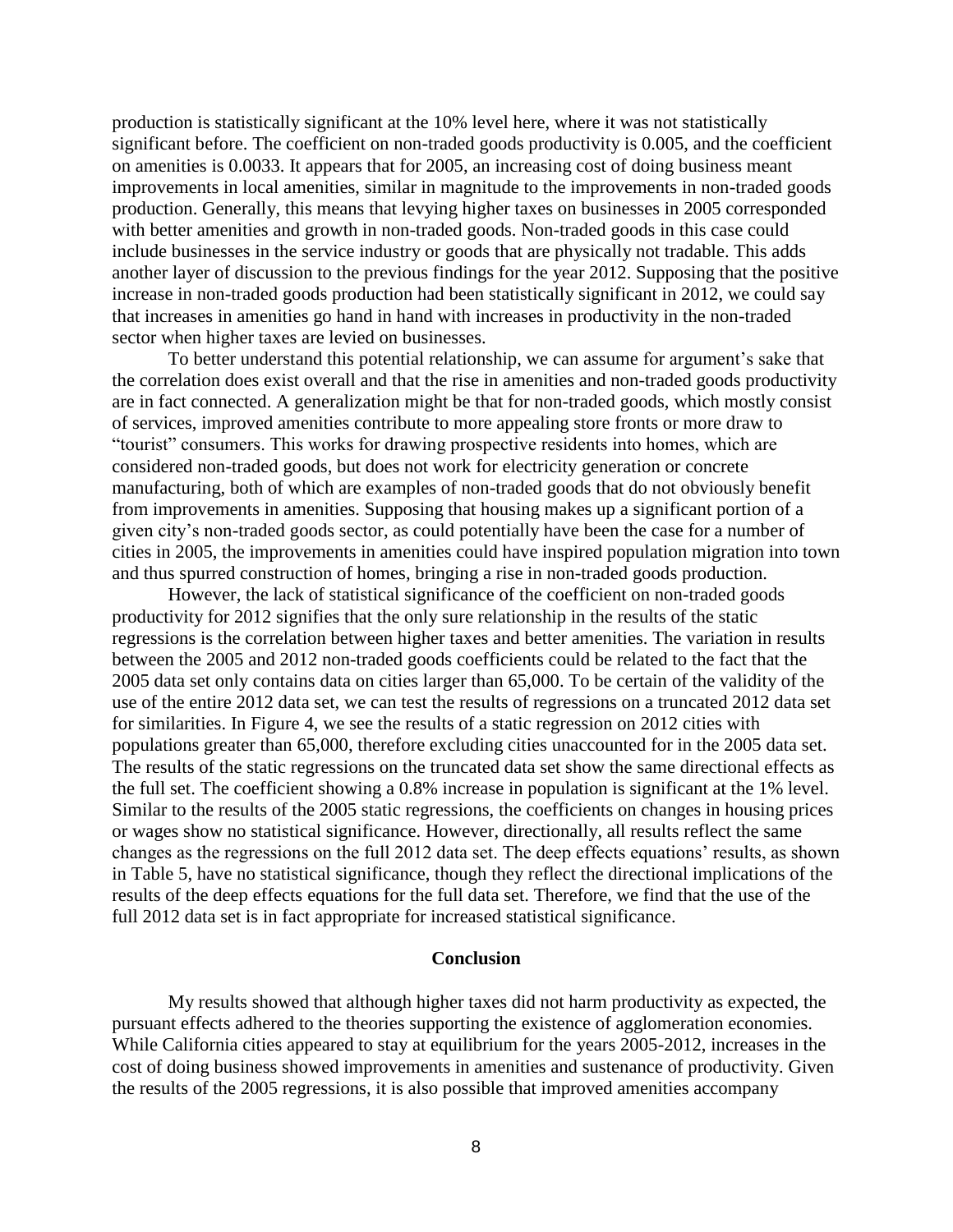production is statistically significant at the 10% level here, where it was not statistically significant before. The coefficient on non-traded goods productivity is 0.005, and the coefficient on amenities is 0.0033. It appears that for 2005, an increasing cost of doing business meant improvements in local amenities, similar in magnitude to the improvements in non-traded goods production. Generally, this means that levying higher taxes on businesses in 2005 corresponded with better amenities and growth in non-traded goods. Non-traded goods in this case could include businesses in the service industry or goods that are physically not tradable. This adds another layer of discussion to the previous findings for the year 2012. Supposing that the positive increase in non-traded goods production had been statistically significant in 2012, we could say that increases in amenities go hand in hand with increases in productivity in the non-traded sector when higher taxes are levied on businesses.

To better understand this potential relationship, we can assume for argument's sake that the correlation does exist overall and that the rise in amenities and non-traded goods productivity are in fact connected. A generalization might be that for non-traded goods, which mostly consist of services, improved amenities contribute to more appealing store fronts or more draw to "tourist" consumers. This works for drawing prospective residents into homes, which are considered non-traded goods, but does not work for electricity generation or concrete manufacturing, both of which are examples of non-traded goods that do not obviously benefit from improvements in amenities. Supposing that housing makes up a significant portion of a given city's non-traded goods sector, as could potentially have been the case for a number of cities in 2005, the improvements in amenities could have inspired population migration into town and thus spurred construction of homes, bringing a rise in non-traded goods production.

However, the lack of statistical significance of the coefficient on non-traded goods productivity for 2012 signifies that the only sure relationship in the results of the static regressions is the correlation between higher taxes and better amenities. The variation in results between the 2005 and 2012 non-traded goods coefficients could be related to the fact that the 2005 data set only contains data on cities larger than 65,000. To be certain of the validity of the use of the entire 2012 data set, we can test the results of regressions on a truncated 2012 data set for similarities. In Figure 4, we see the results of a static regression on 2012 cities with populations greater than 65,000, therefore excluding cities unaccounted for in the 2005 data set. The results of the static regressions on the truncated data set show the same directional effects as the full set. The coefficient showing a 0.8% increase in population is significant at the 1% level. Similar to the results of the 2005 static regressions, the coefficients on changes in housing prices or wages show no statistical significance. However, directionally, all results reflect the same changes as the regressions on the full 2012 data set. The deep effects equations' results, as shown in Table 5, have no statistical significance, though they reflect the directional implications of the results of the deep effects equations for the full data set. Therefore, we find that the use of the full 2012 data set is in fact appropriate for increased statistical significance.

#### **Conclusion**

My results showed that although higher taxes did not harm productivity as expected, the pursuant effects adhered to the theories supporting the existence of agglomeration economies. While California cities appeared to stay at equilibrium for the years 2005-2012, increases in the cost of doing business showed improvements in amenities and sustenance of productivity. Given the results of the 2005 regressions, it is also possible that improved amenities accompany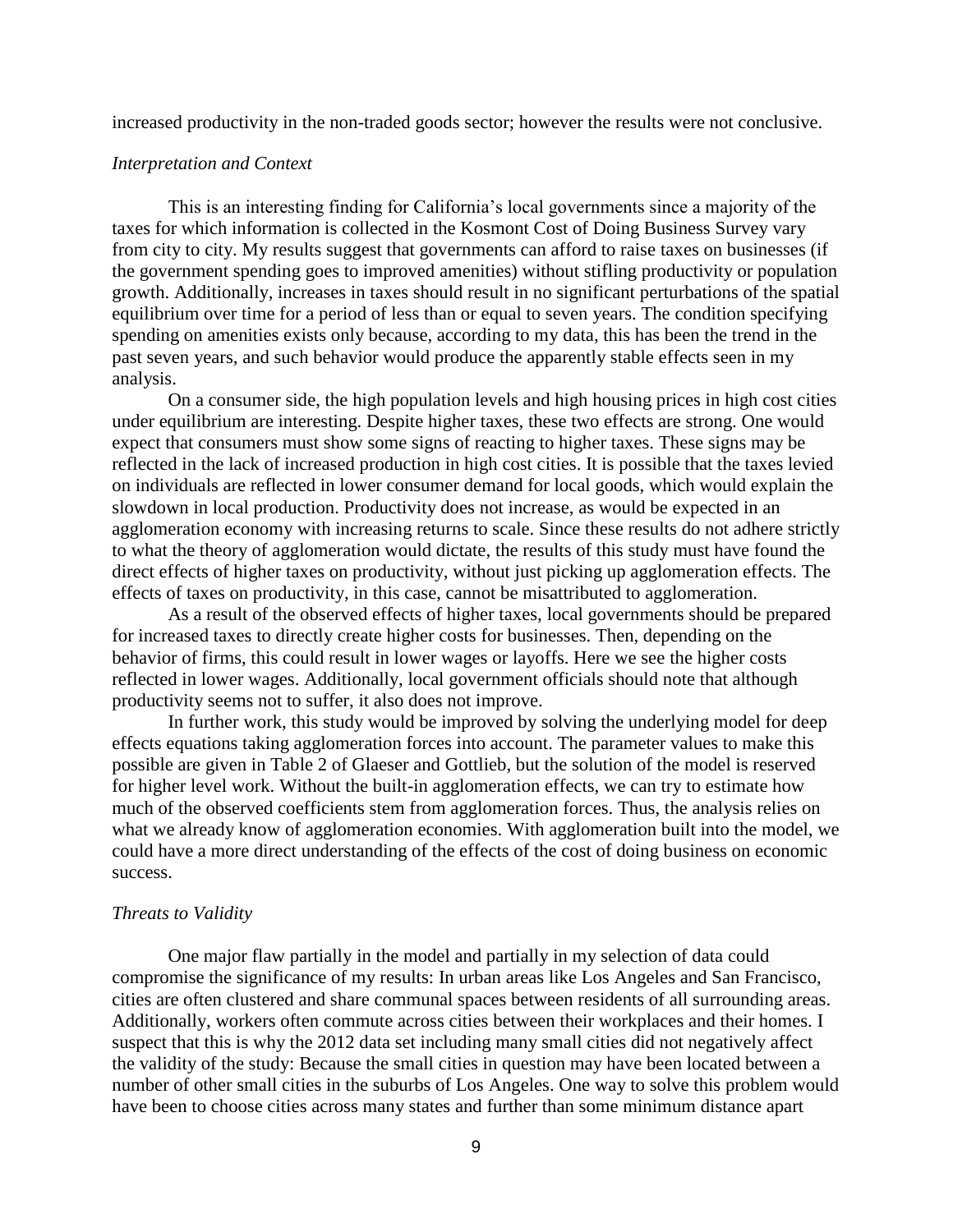increased productivity in the non-traded goods sector; however the results were not conclusive.

#### *Interpretation and Context*

This is an interesting finding for California's local governments since a majority of the taxes for which information is collected in the Kosmont Cost of Doing Business Survey vary from city to city. My results suggest that governments can afford to raise taxes on businesses (if the government spending goes to improved amenities) without stifling productivity or population growth. Additionally, increases in taxes should result in no significant perturbations of the spatial equilibrium over time for a period of less than or equal to seven years. The condition specifying spending on amenities exists only because, according to my data, this has been the trend in the past seven years, and such behavior would produce the apparently stable effects seen in my analysis.

On a consumer side, the high population levels and high housing prices in high cost cities under equilibrium are interesting. Despite higher taxes, these two effects are strong. One would expect that consumers must show some signs of reacting to higher taxes. These signs may be reflected in the lack of increased production in high cost cities. It is possible that the taxes levied on individuals are reflected in lower consumer demand for local goods, which would explain the slowdown in local production. Productivity does not increase, as would be expected in an agglomeration economy with increasing returns to scale. Since these results do not adhere strictly to what the theory of agglomeration would dictate, the results of this study must have found the direct effects of higher taxes on productivity, without just picking up agglomeration effects. The effects of taxes on productivity, in this case, cannot be misattributed to agglomeration.

As a result of the observed effects of higher taxes, local governments should be prepared for increased taxes to directly create higher costs for businesses. Then, depending on the behavior of firms, this could result in lower wages or layoffs. Here we see the higher costs reflected in lower wages. Additionally, local government officials should note that although productivity seems not to suffer, it also does not improve.

In further work, this study would be improved by solving the underlying model for deep effects equations taking agglomeration forces into account. The parameter values to make this possible are given in Table 2 of Glaeser and Gottlieb, but the solution of the model is reserved for higher level work. Without the built-in agglomeration effects, we can try to estimate how much of the observed coefficients stem from agglomeration forces. Thus, the analysis relies on what we already know of agglomeration economies. With agglomeration built into the model, we could have a more direct understanding of the effects of the cost of doing business on economic success.

#### *Threats to Validity*

One major flaw partially in the model and partially in my selection of data could compromise the significance of my results: In urban areas like Los Angeles and San Francisco, cities are often clustered and share communal spaces between residents of all surrounding areas. Additionally, workers often commute across cities between their workplaces and their homes. I suspect that this is why the 2012 data set including many small cities did not negatively affect the validity of the study: Because the small cities in question may have been located between a number of other small cities in the suburbs of Los Angeles. One way to solve this problem would have been to choose cities across many states and further than some minimum distance apart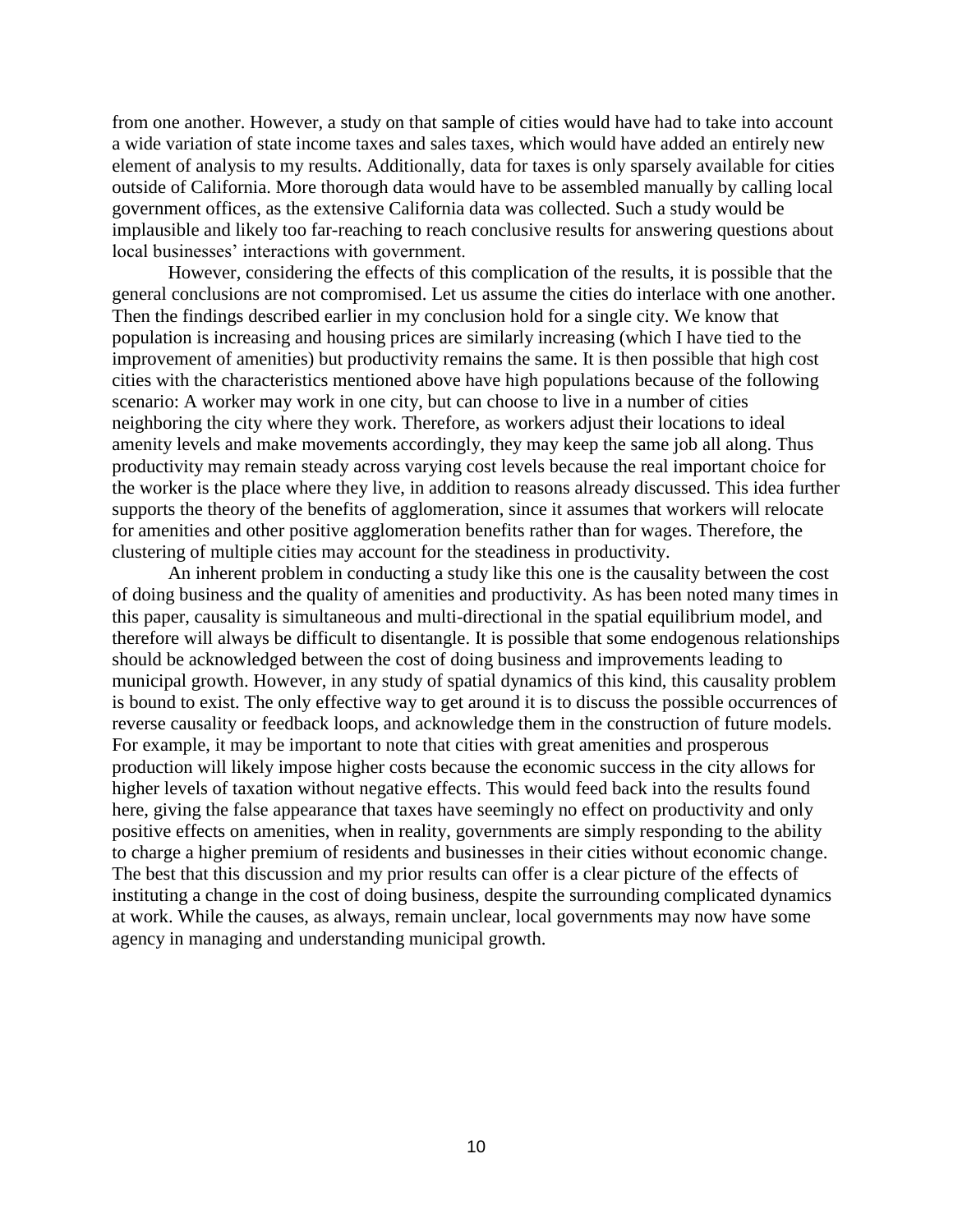from one another. However, a study on that sample of cities would have had to take into account a wide variation of state income taxes and sales taxes, which would have added an entirely new element of analysis to my results. Additionally, data for taxes is only sparsely available for cities outside of California. More thorough data would have to be assembled manually by calling local government offices, as the extensive California data was collected. Such a study would be implausible and likely too far-reaching to reach conclusive results for answering questions about local businesses' interactions with government.

However, considering the effects of this complication of the results, it is possible that the general conclusions are not compromised. Let us assume the cities do interlace with one another. Then the findings described earlier in my conclusion hold for a single city. We know that population is increasing and housing prices are similarly increasing (which I have tied to the improvement of amenities) but productivity remains the same. It is then possible that high cost cities with the characteristics mentioned above have high populations because of the following scenario: A worker may work in one city, but can choose to live in a number of cities neighboring the city where they work. Therefore, as workers adjust their locations to ideal amenity levels and make movements accordingly, they may keep the same job all along. Thus productivity may remain steady across varying cost levels because the real important choice for the worker is the place where they live, in addition to reasons already discussed. This idea further supports the theory of the benefits of agglomeration, since it assumes that workers will relocate for amenities and other positive agglomeration benefits rather than for wages. Therefore, the clustering of multiple cities may account for the steadiness in productivity.

An inherent problem in conducting a study like this one is the causality between the cost of doing business and the quality of amenities and productivity. As has been noted many times in this paper, causality is simultaneous and multi-directional in the spatial equilibrium model, and therefore will always be difficult to disentangle. It is possible that some endogenous relationships should be acknowledged between the cost of doing business and improvements leading to municipal growth. However, in any study of spatial dynamics of this kind, this causality problem is bound to exist. The only effective way to get around it is to discuss the possible occurrences of reverse causality or feedback loops, and acknowledge them in the construction of future models. For example, it may be important to note that cities with great amenities and prosperous production will likely impose higher costs because the economic success in the city allows for higher levels of taxation without negative effects. This would feed back into the results found here, giving the false appearance that taxes have seemingly no effect on productivity and only positive effects on amenities, when in reality, governments are simply responding to the ability to charge a higher premium of residents and businesses in their cities without economic change. The best that this discussion and my prior results can offer is a clear picture of the effects of instituting a change in the cost of doing business, despite the surrounding complicated dynamics at work. While the causes, as always, remain unclear, local governments may now have some agency in managing and understanding municipal growth.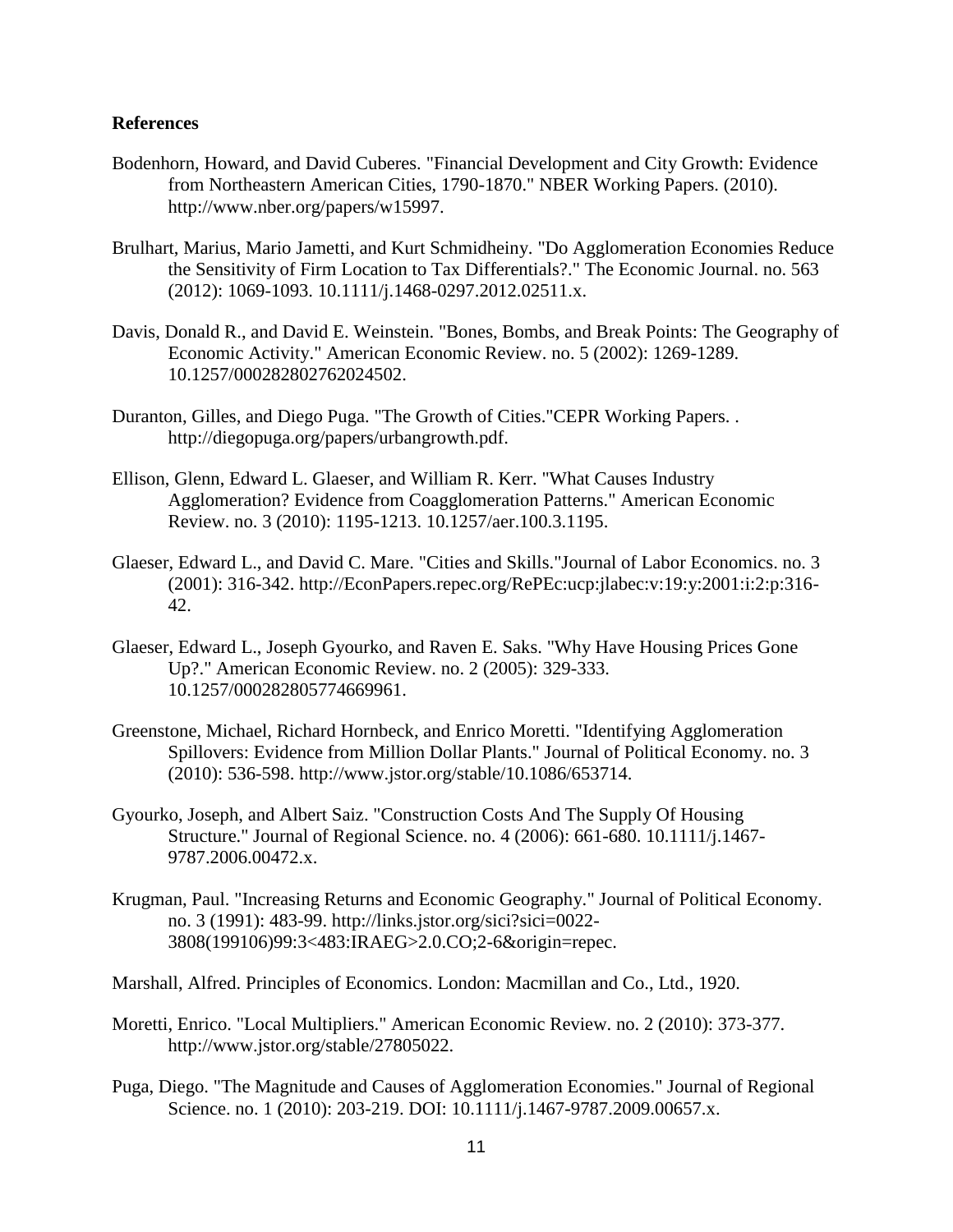#### **References**

- Bodenhorn, Howard, and David Cuberes. "Financial Development and City Growth: Evidence from Northeastern American Cities, 1790-1870." NBER Working Papers. (2010). http://www.nber.org/papers/w15997.
- Brulhart, Marius, Mario Jametti, and Kurt Schmidheiny. "Do Agglomeration Economies Reduce the Sensitivity of Firm Location to Tax Differentials?." The Economic Journal. no. 563 (2012): 1069-1093. 10.1111/j.1468-0297.2012.02511.x.
- Davis, Donald R., and David E. Weinstein. "Bones, Bombs, and Break Points: The Geography of Economic Activity." American Economic Review. no. 5 (2002): 1269-1289. 10.1257/000282802762024502.
- Duranton, Gilles, and Diego Puga. "The Growth of Cities."CEPR Working Papers. . http://diegopuga.org/papers/urbangrowth.pdf.
- Ellison, Glenn, Edward L. Glaeser, and William R. Kerr. "What Causes Industry Agglomeration? Evidence from Coagglomeration Patterns." American Economic Review. no. 3 (2010): 1195-1213. 10.1257/aer.100.3.1195.
- Glaeser, Edward L., and David C. Mare. "Cities and Skills."Journal of Labor Economics. no. 3 (2001): 316-342. http://EconPapers.repec.org/RePEc:ucp:jlabec:v:19:y:2001:i:2:p:316- 42.
- Glaeser, Edward L., Joseph Gyourko, and Raven E. Saks. "Why Have Housing Prices Gone Up?." American Economic Review. no. 2 (2005): 329-333. 10.1257/000282805774669961.
- Greenstone, Michael, Richard Hornbeck, and Enrico Moretti. "Identifying Agglomeration Spillovers: Evidence from Million Dollar Plants." Journal of Political Economy. no. 3 (2010): 536-598. http://www.jstor.org/stable/10.1086/653714.
- Gyourko, Joseph, and Albert Saiz. "Construction Costs And The Supply Of Housing Structure." Journal of Regional Science. no. 4 (2006): 661-680. 10.1111/j.1467- 9787.2006.00472.x.
- Krugman, Paul. "Increasing Returns and Economic Geography." Journal of Political Economy. no. 3 (1991): 483-99. http://links.jstor.org/sici?sici=0022- 3808(199106)99:3<483:IRAEG>2.0.CO;2-6&origin=repec.
- Marshall, Alfred. Principles of Economics. London: Macmillan and Co., Ltd., 1920.
- Moretti, Enrico. "Local Multipliers." American Economic Review. no. 2 (2010): 373-377. http://www.jstor.org/stable/27805022.
- Puga, Diego. "The Magnitude and Causes of Agglomeration Economies." Journal of Regional Science. no. 1 (2010): 203-219. DOI: 10.1111/j.1467-9787.2009.00657.x.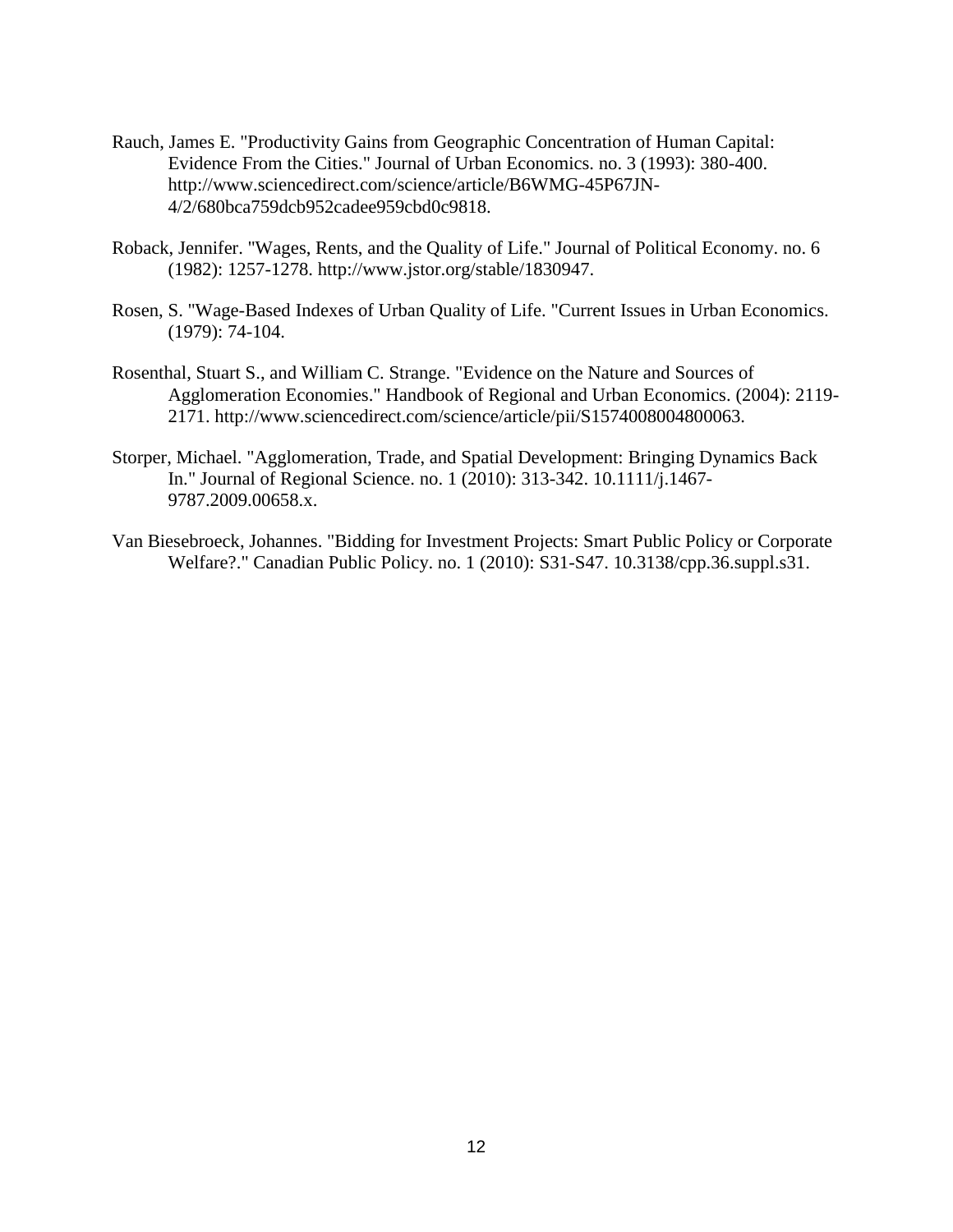- Rauch, James E. "Productivity Gains from Geographic Concentration of Human Capital: Evidence From the Cities." Journal of Urban Economics. no. 3 (1993): 380-400. http://www.sciencedirect.com/science/article/B6WMG-45P67JN-4/2/680bca759dcb952cadee959cbd0c9818.
- Roback, Jennifer. "Wages, Rents, and the Quality of Life." Journal of Political Economy. no. 6 (1982): 1257-1278. http://www.jstor.org/stable/1830947.
- Rosen, S. "Wage-Based Indexes of Urban Quality of Life. "Current Issues in Urban Economics. (1979): 74-104.
- Rosenthal, Stuart S., and William C. Strange. "Evidence on the Nature and Sources of Agglomeration Economies." Handbook of Regional and Urban Economics. (2004): 2119- 2171. http://www.sciencedirect.com/science/article/pii/S1574008004800063.
- Storper, Michael. "Agglomeration, Trade, and Spatial Development: Bringing Dynamics Back In." Journal of Regional Science. no. 1 (2010): 313-342. 10.1111/j.1467- 9787.2009.00658.x.
- Van Biesebroeck, Johannes. "Bidding for Investment Projects: Smart Public Policy or Corporate Welfare?." Canadian Public Policy. no. 1 (2010): S31-S47. 10.3138/cpp.36.suppl.s31.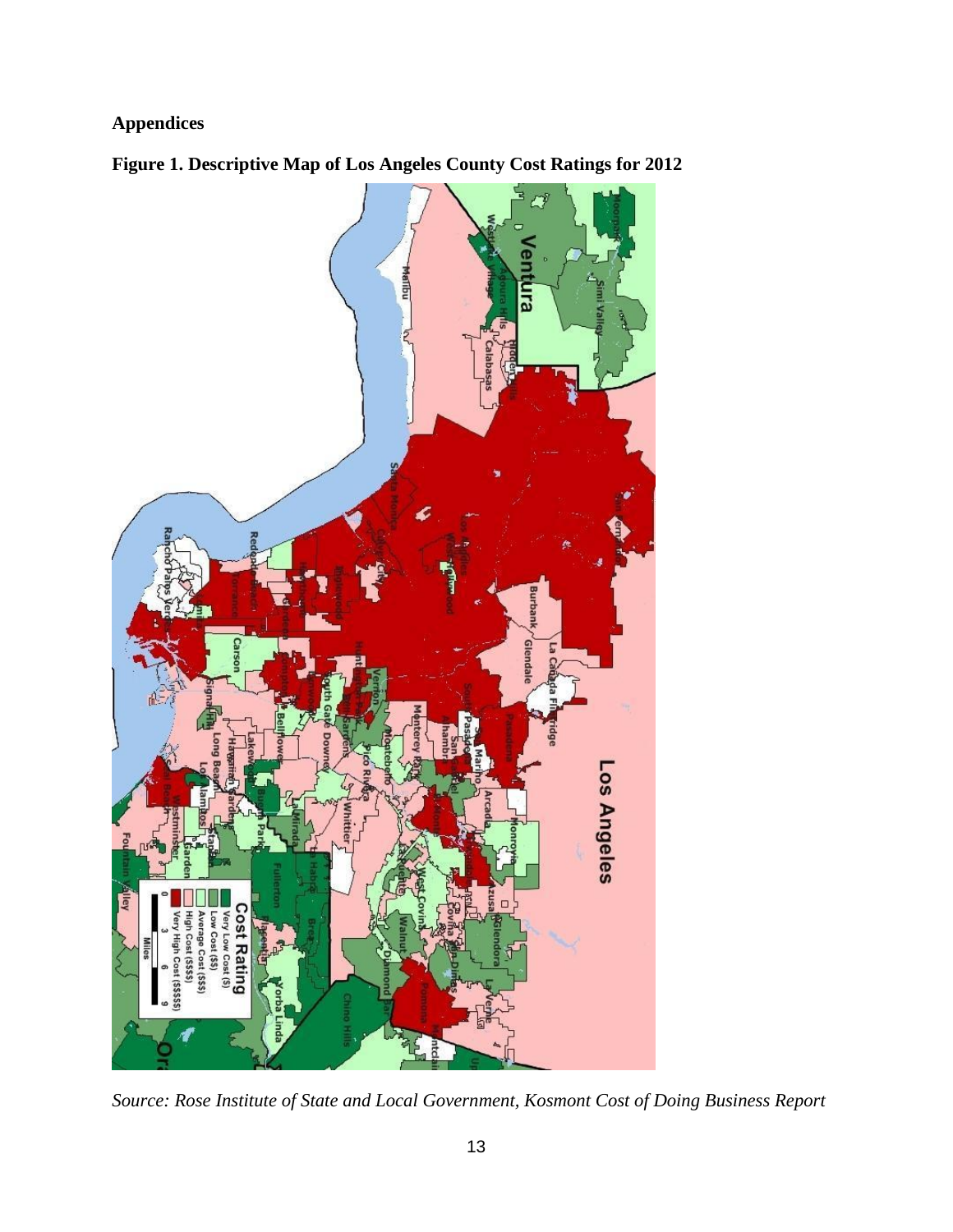### **Appendices**





*Source: Rose Institute of State and Local Government, Kosmont Cost of Doing Business Report*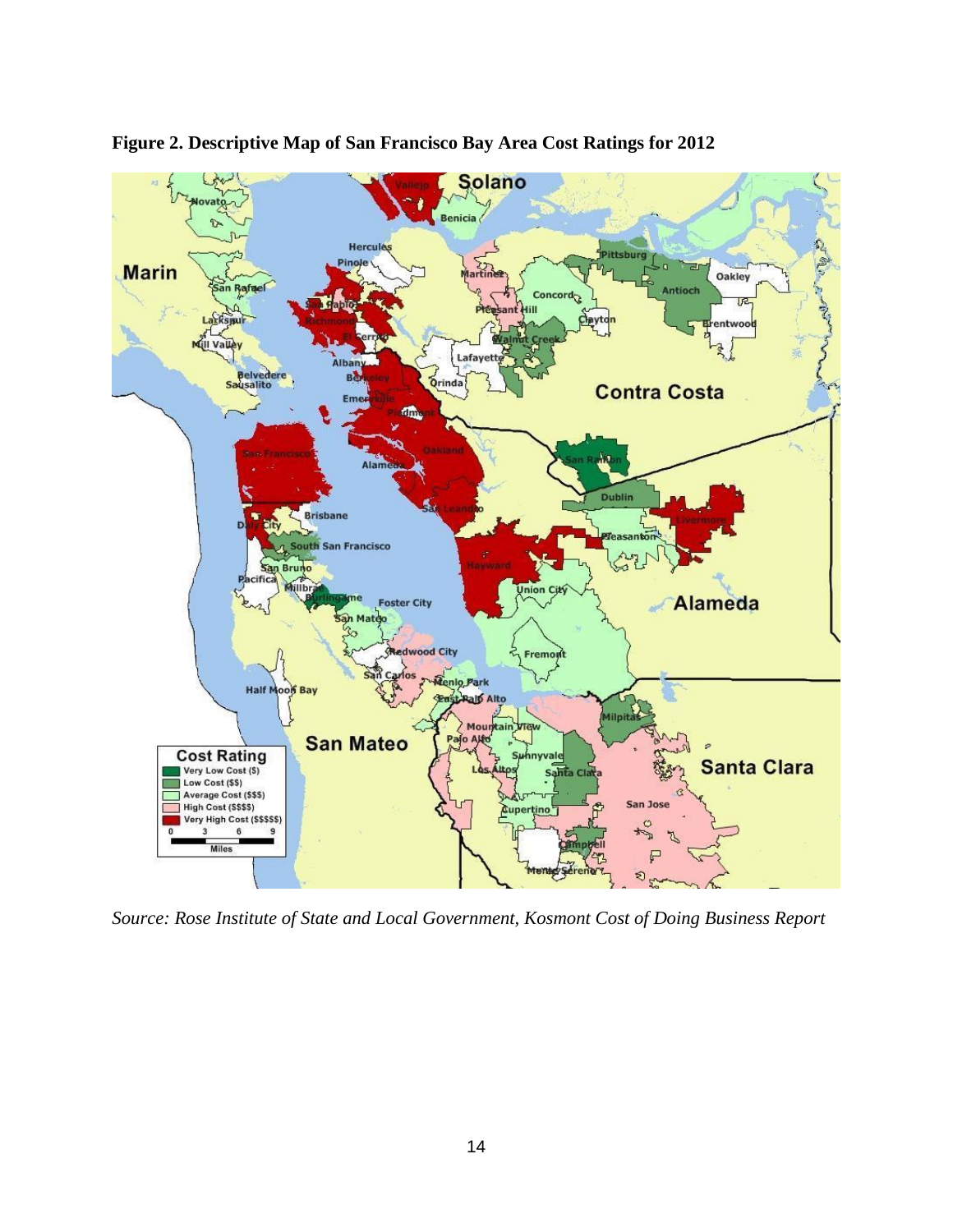

**Figure 2. Descriptive Map of San Francisco Bay Area Cost Ratings for 2012**

*Source: Rose Institute of State and Local Government, Kosmont Cost of Doing Business Report*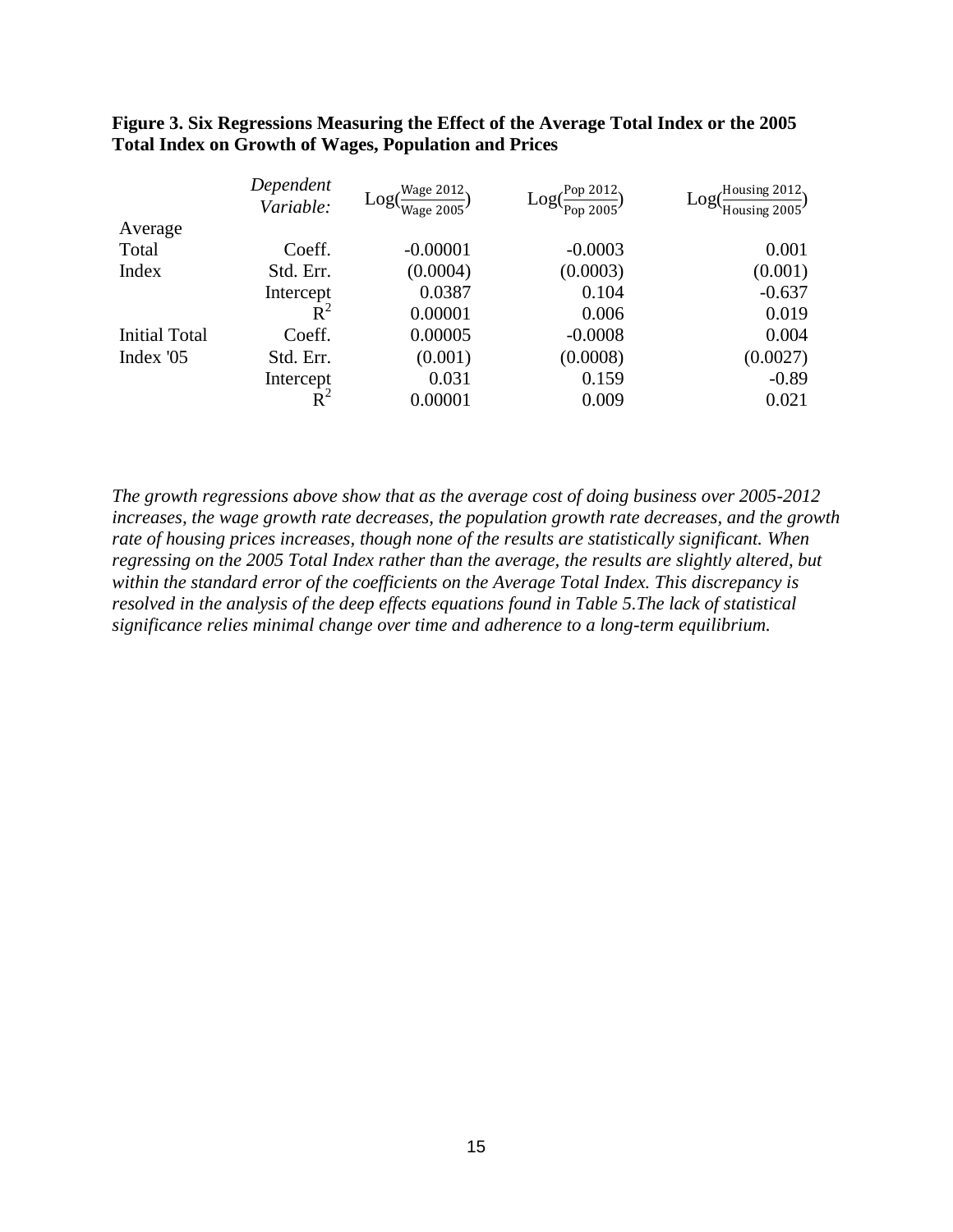|                      | Dependent<br>Variable: | Wage 2012.<br>$Log(-)$<br>Wage 2005 | Pop 2012.<br>Log(<br>Pop 2005 $'$ | Housing 2012.<br>Log(<br>Housing $2005'$ |
|----------------------|------------------------|-------------------------------------|-----------------------------------|------------------------------------------|
| Average              |                        |                                     |                                   |                                          |
| Total                | Coeff.                 | $-0.00001$                          | $-0.0003$                         | 0.001                                    |
| Index                | Std. Err.              | (0.0004)                            | (0.0003)                          | (0.001)                                  |
|                      | Intercept              | 0.0387                              | 0.104                             | $-0.637$                                 |
|                      | $R^2$                  | 0.00001                             | 0.006                             | 0.019                                    |
| <b>Initial Total</b> | Coeff.                 | 0.00005                             | $-0.0008$                         | 0.004                                    |
| Index '05            | Std. Err.              | (0.001)                             | (0.0008)                          | (0.0027)                                 |
|                      | Intercept              | 0.031                               | 0.159                             | $-0.89$                                  |
|                      |                        | 0.00001                             | 0.009                             | 0.021                                    |

#### **Figure 3. Six Regressions Measuring the Effect of the Average Total Index or the 2005 Total Index on Growth of Wages, Population and Prices**

*The growth regressions above show that as the average cost of doing business over 2005-2012 increases, the wage growth rate decreases, the population growth rate decreases, and the growth rate of housing prices increases, though none of the results are statistically significant. When regressing on the 2005 Total Index rather than the average, the results are slightly altered, but within the standard error of the coefficients on the Average Total Index. This discrepancy is resolved in the analysis of the deep effects equations found in Table 5.The lack of statistical significance relies minimal change over time and adherence to a long-term equilibrium.*